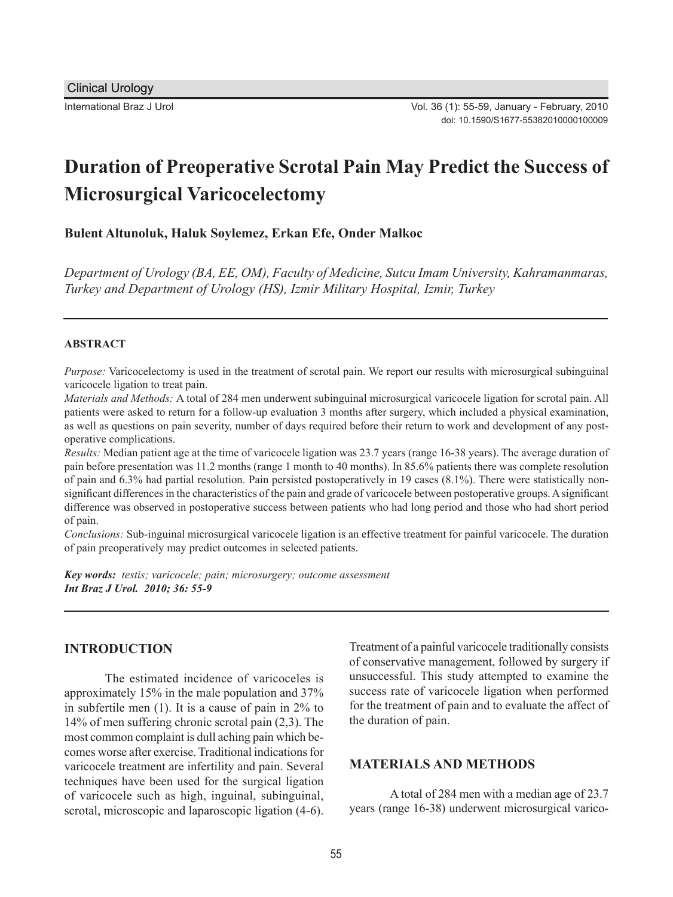# **Duration of Preoperative Scrotal Pain May Predict the Success of Microsurgical Varicocelectomy**

**Bulent Altunoluk, Haluk Soylemez, Erkan Efe, Onder Malkoc**

*Department of Urology (BA, EE, OM), Faculty of Medicine, Sutcu Imam University, Kahramanmaras, Turkey and Department of Urology (HS), Izmir Military Hospital, Izmir, Turkey*

#### **ABSTRACT**

*Purpose:* Varicocelectomy is used in the treatment of scrotal pain. We report our results with microsurgical subinguinal varicocele ligation to treat pain.

*Materials and Methods:* A total of 284 men underwent subinguinal microsurgical varicocele ligation for scrotal pain. All patients were asked to return for a follow-up evaluation 3 months after surgery, which included a physical examination, as well as questions on pain severity, number of days required before their return to work and development of any postoperative complications.

*Results:* Median patient age at the time of varicocele ligation was 23.7 years (range 16-38 years). The average duration of pain before presentation was 11.2 months (range 1 month to 40 months). In 85.6% patients there was complete resolution of pain and 6.3% had partial resolution. Pain persisted postoperatively in 19 cases (8.1%). There were statistically nonsignificant differences in the characteristics of the pain and grade of varicocele between postoperative groups. A significant difference was observed in postoperative success between patients who had long period and those who had short period of pain.

*Conclusions:* Sub-inguinal microsurgical varicocele ligation is an effective treatment for painful varicocele. The duration of pain preoperatively may predict outcomes in selected patients.

*Key words: testis; varicocele; pain; microsurgery; outcome assessment Int Braz J Urol. 2010; 36: 55-9*

#### **INTRODUCTION**

The estimated incidence of varicoceles is approximately 15% in the male population and 37% in subfertile men (1). It is a cause of pain in 2% to 14% of men suffering chronic scrotal pain (2,3). The most common complaint is dull aching pain which becomes worse after exercise. Traditional indications for varicocele treatment are infertility and pain. Several techniques have been used for the surgical ligation of varicocele such as high, inguinal, subinguinal, scrotal, microscopic and laparoscopic ligation (4-6). Treatment of a painful varicocele traditionally consists of conservative management, followed by surgery if unsuccessful. This study attempted to examine the success rate of varicocele ligation when performed for the treatment of pain and to evaluate the affect of the duration of pain.

# **MATERIALS AND METHODS**

A total of 284 men with a median age of 23.7 years (range 16-38) underwent microsurgical varico-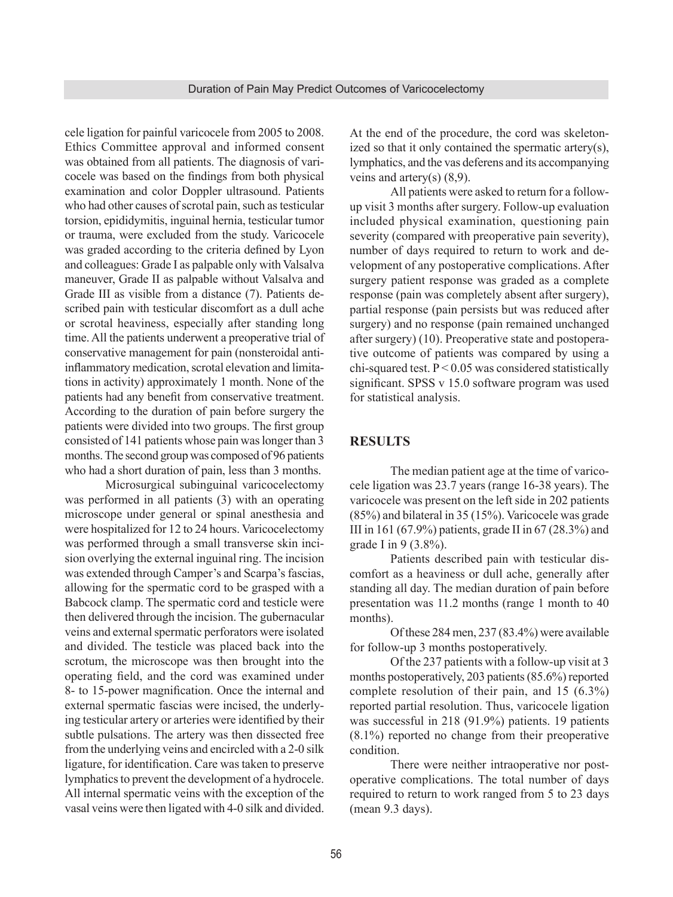cele ligation for painful varicocele from 2005 to 2008. Ethics Committee approval and informed consent was obtained from all patients. The diagnosis of varicocele was based on the findings from both physical examination and color Doppler ultrasound. Patients who had other causes of scrotal pain, such as testicular torsion, epididymitis, inguinal hernia, testicular tumor or trauma, were excluded from the study. Varicocele was graded according to the criteria defined by Lyon and colleagues: Grade I as palpable only with Valsalva maneuver, Grade II as palpable without Valsalva and Grade III as visible from a distance (7). Patients described pain with testicular discomfort as a dull ache or scrotal heaviness, especially after standing long time. All the patients underwent a preoperative trial of conservative management for pain (nonsteroidal antiinflammatory medication, scrotal elevation and limitations in activity) approximately 1 month. None of the patients had any benefit from conservative treatment. According to the duration of pain before surgery the patients were divided into two groups. The first group consisted of 141 patients whose pain was longer than 3 months. The second group was composed of 96 patients who had a short duration of pain, less than 3 months.

Microsurgical subinguinal varicocelectomy was performed in all patients (3) with an operating microscope under general or spinal anesthesia and were hospitalized for 12 to 24 hours. Varicocelectomy was performed through a small transverse skin incision overlying the external inguinal ring. The incision was extended through Camper's and Scarpa's fascias, allowing for the spermatic cord to be grasped with a Babcock clamp. The spermatic cord and testicle were then delivered through the incision. The gubernacular veins and external spermatic perforators were isolated and divided. The testicle was placed back into the scrotum, the microscope was then brought into the operating field, and the cord was examined under 8- to 15-power magnification. Once the internal and external spermatic fascias were incised, the underlying testicular artery or arteries were identified by their subtle pulsations. The artery was then dissected free from the underlying veins and encircled with a 2-0 silk ligature, for identification. Care was taken to preserve lymphatics to prevent the development of a hydrocele. All internal spermatic veins with the exception of the vasal veins were then ligated with 4-0 silk and divided. At the end of the procedure, the cord was skeletonized so that it only contained the spermatic artery(s), lymphatics, and the vas deferens and its accompanying veins and artery(s)  $(8,9)$ .

All patients were asked to return for a followup visit 3 months after surgery. Follow-up evaluation included physical examination, questioning pain severity (compared with preoperative pain severity), number of days required to return to work and development of any postoperative complications. After surgery patient response was graded as a complete response (pain was completely absent after surgery), partial response (pain persists but was reduced after surgery) and no response (pain remained unchanged after surgery) (10). Preoperative state and postoperative outcome of patients was compared by using a chi-squared test.  $P < 0.05$  was considered statistically significant. SPSS v 15.0 software program was used for statistical analysis.

## **RESULTS**

The median patient age at the time of varicocele ligation was 23.7 years (range 16-38 years). The varicocele was present on the left side in 202 patients (85%) and bilateral in 35 (15%). Varicocele was grade III in 161 (67.9%) patients, grade II in 67 (28.3%) and grade I in 9 (3.8%).

Patients described pain with testicular discomfort as a heaviness or dull ache, generally after standing all day. The median duration of pain before presentation was 11.2 months (range 1 month to 40 months).

Of these 284 men, 237 (83.4%) were available for follow-up 3 months postoperatively.

Of the 237 patients with a follow-up visit at 3 months postoperatively, 203 patients (85.6%) reported complete resolution of their pain, and 15 (6.3%) reported partial resolution. Thus, varicocele ligation was successful in 218 (91.9%) patients. 19 patients (8.1%) reported no change from their preoperative condition.

There were neither intraoperative nor postoperative complications. The total number of days required to return to work ranged from 5 to 23 days (mean 9.3 days).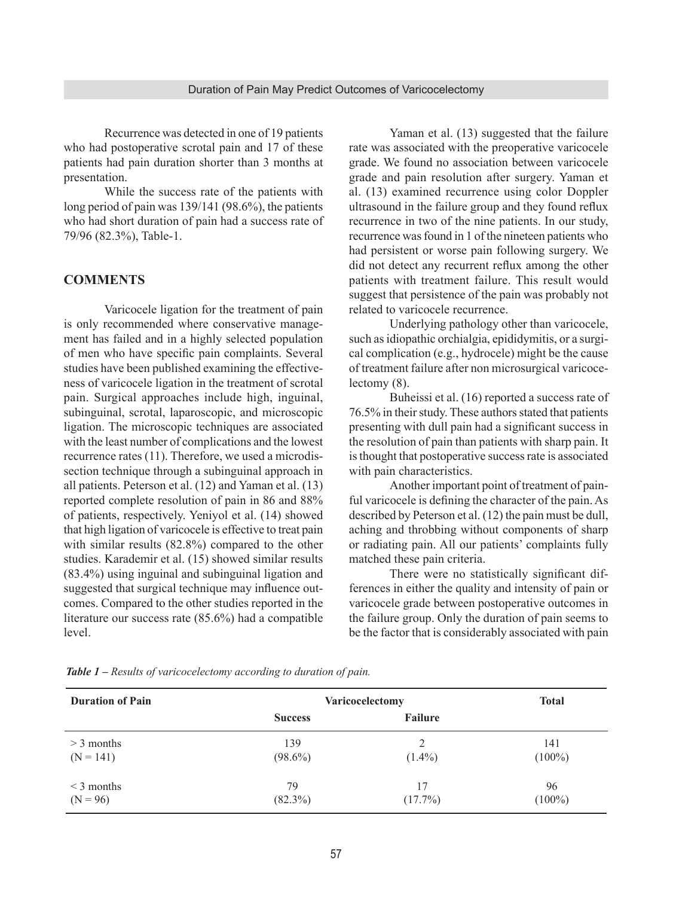Recurrence was detected in one of 19 patients who had postoperative scrotal pain and 17 of these patients had pain duration shorter than 3 months at presentation.

While the success rate of the patients with long period of pain was 139/141 (98.6%), the patients who had short duration of pain had a success rate of 79/96 (82.3%), Table-1.

# **COMMENTS**

Varicocele ligation for the treatment of pain is only recommended where conservative management has failed and in a highly selected population of men who have specific pain complaints. Several studies have been published examining the effectiveness of varicocele ligation in the treatment of scrotal pain. Surgical approaches include high, inguinal, subinguinal, scrotal, laparoscopic, and microscopic ligation. The microscopic techniques are associated with the least number of complications and the lowest recurrence rates (11). Therefore, we used a microdissection technique through a subinguinal approach in all patients. Peterson et al. (12) and Yaman et al. (13) reported complete resolution of pain in 86 and 88% of patients, respectively. Yeniyol et al. (14) showed that high ligation of varicocele is effective to treat pain with similar results (82.8%) compared to the other studies. Karademir et al. (15) showed similar results (83.4%) using inguinal and subinguinal ligation and suggested that surgical technique may influence outcomes. Compared to the other studies reported in the literature our success rate (85.6%) had a compatible level.

Yaman et al. (13) suggested that the failure rate was associated with the preoperative varicocele grade. We found no association between varicocele grade and pain resolution after surgery. Yaman et al. (13) examined recurrence using color Doppler ultrasound in the failure group and they found reflux recurrence in two of the nine patients. In our study, recurrence was found in 1 of the nineteen patients who had persistent or worse pain following surgery. We did not detect any recurrent reflux among the other patients with treatment failure. This result would suggest that persistence of the pain was probably not related to varicocele recurrence.

Underlying pathology other than varicocele, such as idiopathic orchialgia, epididymitis, or a surgical complication (e.g., hydrocele) might be the cause of treatment failure after non microsurgical varicocelectomy (8).

Buheissi et al. (16) reported a success rate of 76.5% in their study. These authors stated that patients presenting with dull pain had a significant success in the resolution of pain than patients with sharp pain. It is thought that postoperative success rate is associated with pain characteristics.

Another important point of treatment of painful varicocele is defining the character of the pain. As described by Peterson et al. (12) the pain must be dull, aching and throbbing without components of sharp or radiating pain. All our patients' complaints fully matched these pain criteria.

There were no statistically significant differences in either the quality and intensity of pain or varicocele grade between postoperative outcomes in the failure group. Only the duration of pain seems to be the factor that is considerably associated with pain

| <b>Duration of Pain</b> | Varicocelectomy |            | <b>Total</b> |
|-------------------------|-----------------|------------|--------------|
|                         | <b>Success</b>  | Failure    |              |
| $>$ 3 months            | 139             | 2          | 141          |
| $(N = 141)$             | $(98.6\%)$      | $(1.4\%)$  | $(100\%)$    |
| $\leq$ 3 months         | 79              | 17         | 96           |
| $(N = 96)$              | $(82.3\%)$      | $(17.7\%)$ | $(100\%)$    |

*Table 1 – Results of varicocelectomy according to duration of pain.*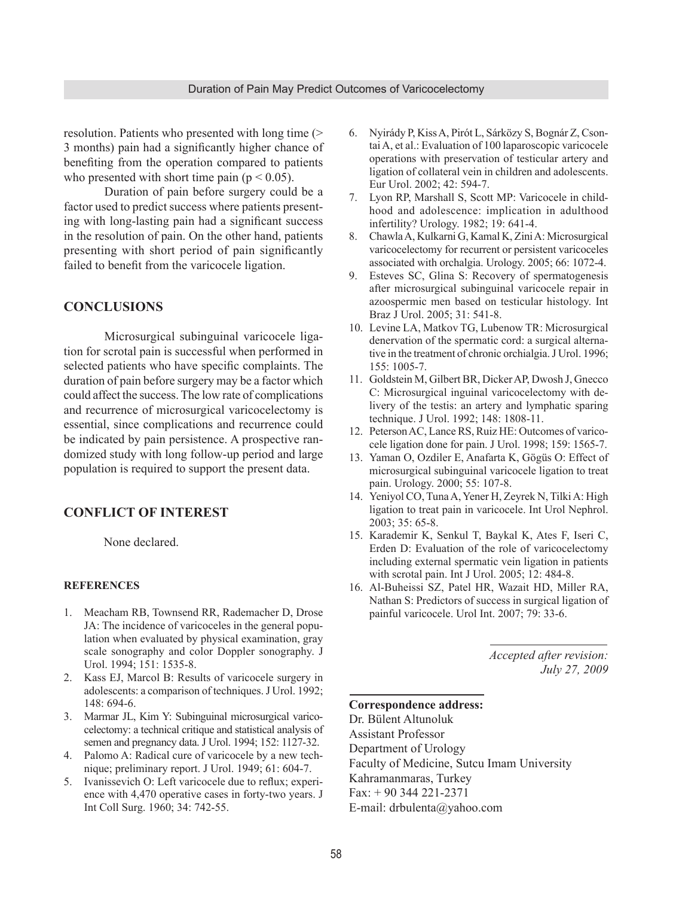resolution. Patients who presented with long time (> 3 months) pain had a significantly higher chance of benefiting from the operation compared to patients who presented with short time pain ( $p < 0.05$ ).

Duration of pain before surgery could be a factor used to predict success where patients presenting with long-lasting pain had a significant success in the resolution of pain. On the other hand, patients presenting with short period of pain significantly failed to benefit from the varicocele ligation.

## **CONCLUSIONS**

Microsurgical subinguinal varicocele ligation for scrotal pain is successful when performed in selected patients who have specific complaints. The duration of pain before surgery may be a factor which could affect the success. The low rate of complications and recurrence of microsurgical varicocelectomy is essential, since complications and recurrence could be indicated by pain persistence. A prospective randomized study with long follow-up period and large population is required to support the present data.

### **CONFLICT OF INTEREST**

None declared.

#### **REFERENCES**

- 1. Meacham RB, Townsend RR, Rademacher D, Drose JA: The incidence of varicoceles in the general population when evaluated by physical examination, gray scale sonography and color Doppler sonography. J Urol. 1994; 151: 1535-8.
- 2. Kass EJ, Marcol B: Results of varicocele surgery in adolescents: a comparison of techniques. J Urol. 1992; 148: 694-6.
- 3. Marmar JL, Kim Y: Subinguinal microsurgical varicocelectomy: a technical critique and statistical analysis of semen and pregnancy data. J Urol. 1994; 152: 1127-32.
- 4. Palomo A: Radical cure of varicocele by a new technique; preliminary report. J Urol. 1949; 61: 604-7.
- 5. Ivanissevich O: Left varicocele due to reflux; experience with 4,470 operative cases in forty-two years. J Int Coll Surg. 1960; 34: 742-55.
- 6. Nyirády P, Kiss A, Pirót L, Sárközy S, Bognár Z, Csontai A, et al.: Evaluation of 100 laparoscopic varicocele operations with preservation of testicular artery and ligation of collateral vein in children and adolescents. Eur Urol. 2002; 42: 594-7.
- 7. Lyon RP, Marshall S, Scott MP: Varicocele in childhood and adolescence: implication in adulthood infertility? Urology. 1982; 19: 641-4.
- 8. Chawla A, Kulkarni G, Kamal K, Zini A: Microsurgical varicocelectomy for recurrent or persistent varicoceles associated with orchalgia. Urology. 2005; 66: 1072-4.
- 9. Esteves SC, Glina S: Recovery of spermatogenesis after microsurgical subinguinal varicocele repair in azoospermic men based on testicular histology. Int Braz J Urol. 2005; 31: 541-8.
- 10. Levine LA, Matkov TG, Lubenow TR: Microsurgical denervation of the spermatic cord: a surgical alternative in the treatment of chronic orchialgia. J Urol. 1996; 155: 1005-7.
- 11. Goldstein M, Gilbert BR, Dicker AP, Dwosh J, Gnecco C: Microsurgical inguinal varicocelectomy with delivery of the testis: an artery and lymphatic sparing technique. J Urol. 1992; 148: 1808-11.
- 12. Peterson AC, Lance RS, Ruiz HE: Outcomes of varicocele ligation done for pain. J Urol. 1998; 159: 1565-7.
- 13. Yaman O, Ozdiler E, Anafarta K, Gögüs O: Effect of microsurgical subinguinal varicocele ligation to treat pain. Urology. 2000; 55: 107-8.
- 14. Yeniyol CO, Tuna A, Yener H, Zeyrek N, Tilki A: High ligation to treat pain in varicocele. Int Urol Nephrol. 2003; 35: 65-8.
- 15. Karademir K, Senkul T, Baykal K, Ates F, Iseri C, Erden D: Evaluation of the role of varicocelectomy including external spermatic vein ligation in patients with scrotal pain. Int J Urol. 2005; 12: 484-8.
- 16. Al-Buheissi SZ, Patel HR, Wazait HD, Miller RA, Nathan S: Predictors of success in surgical ligation of painful varicocele. Urol Int. 2007; 79: 33-6.

*Accepted after revision: July 27, 2009*

#### **Correspondence address:**

Dr. Bülent Altunoluk Assistant Professor Department of Urology Faculty of Medicine, Sutcu Imam University Kahramanmaras, Turkey Fax: + 90 344 221-2371 E-mail: drbulenta@yahoo.com